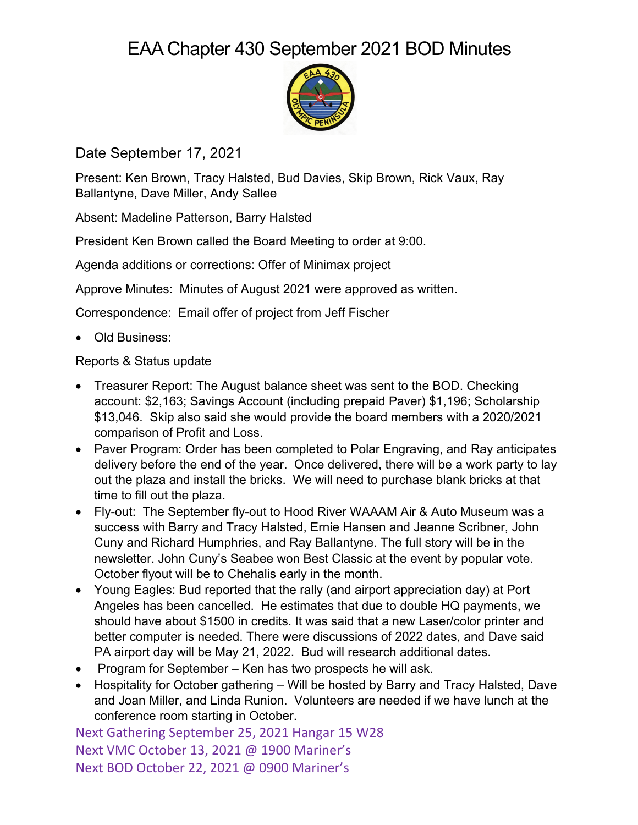## EAA Chapter 430 September 2021 BOD Minutes



Date September 17, 2021

Present: Ken Brown, Tracy Halsted, Bud Davies, Skip Brown, Rick Vaux, Ray Ballantyne, Dave Miller, Andy Sallee

Absent: Madeline Patterson, Barry Halsted

President Ken Brown called the Board Meeting to order at 9:00.

Agenda additions or corrections: Offer of Minimax project

Approve Minutes: Minutes of August 2021 were approved as written.

Correspondence: Email offer of project from Jeff Fischer

• Old Business:

Reports & Status update

- Treasurer Report: The August balance sheet was sent to the BOD. Checking account: \$2,163; Savings Account (including prepaid Paver) \$1,196; Scholarship \$13,046. Skip also said she would provide the board members with a 2020/2021 comparison of Profit and Loss.
- Paver Program: Order has been completed to Polar Engraving, and Ray anticipates delivery before the end of the year. Once delivered, there will be a work party to lay out the plaza and install the bricks. We will need to purchase blank bricks at that time to fill out the plaza.
- Fly-out: The September fly-out to Hood River WAAAM Air & Auto Museum was a success with Barry and Tracy Halsted, Ernie Hansen and Jeanne Scribner, John Cuny and Richard Humphries, and Ray Ballantyne. The full story will be in the newsletter. John Cuny's Seabee won Best Classic at the event by popular vote. October flyout will be to Chehalis early in the month.
- Young Eagles: Bud reported that the rally (and airport appreciation day) at Port Angeles has been cancelled. He estimates that due to double HQ payments, we should have about \$1500 in credits. It was said that a new Laser/color printer and better computer is needed. There were discussions of 2022 dates, and Dave said PA airport day will be May 21, 2022. Bud will research additional dates.
- Program for September Ken has two prospects he will ask.
- Hospitality for October gathering Will be hosted by Barry and Tracy Halsted, Dave and Joan Miller, and Linda Runion. Volunteers are needed if we have lunch at the conference room starting in October.

Next Gathering September 25, 2021 Hangar 15 W28 Next VMC October 13, 2021 @ 1900 Mariner's Next BOD October 22, 2021 @ 0900 Mariner's